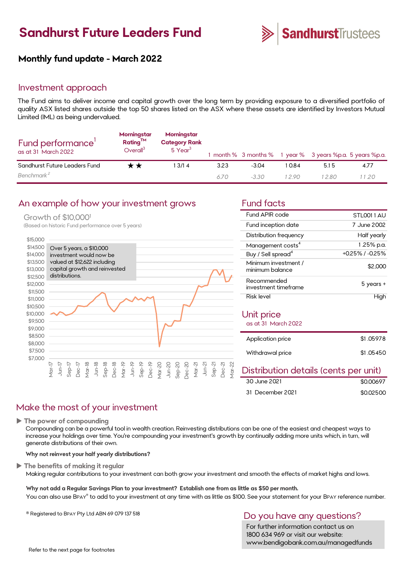# **Sandhurst Future Leaders Fund**



## **Monthly fund update - March 2022**

#### Investment approach

The Fund aims to deliver income and capital growth over the long term by providing exposure to a diversified portfolio of quality ASX listed shares outside the top 50 shares listed on the ASX where these assets are identified by Investors Mutual Limited (IML) as being undervalued.

| Fund performance'<br>as at 31 March 2022 | Morningstar<br>$Rating^{TM}$<br>Overall <sup>3</sup> | Morningstar<br><b>Category Rank</b><br>5 Year <sup>3</sup> |      |         |        | 1 month % 3 months % 1 year % 3 years %p.a. 5 years %p.a. |      |
|------------------------------------------|------------------------------------------------------|------------------------------------------------------------|------|---------|--------|-----------------------------------------------------------|------|
| Sandhurst Future Leaders Fund            | r ★                                                  | 13/14                                                      | 3.23 | $-3.04$ | 1 0.84 | 5.15                                                      | 4.77 |
| Benchmark <sup>2</sup>                   |                                                      |                                                            | 670  | $-3.30$ | 12.90  | 1280                                                      | 1.20 |

#### An example of how your investment grows Fund facts

#### Growth of \$10,000<sup>1</sup>

(Based on historic Fund performance over 5 years)



| Fund APIR code                          | STI 0011 AU     |
|-----------------------------------------|-----------------|
| Fund inception date                     | 7 June 2002     |
| Distribution frequency                  | Half yearly     |
| Management costs <sup>4</sup>           | 1.25% p.a.      |
| Buy / Sell spread <sup>4</sup>          | +0.25% / -0.25% |
| Minimum investment /<br>minimum balance | \$2,000         |
| Recommended<br>investment timeframe     | $5$ years $+$   |
| Risk level                              |                 |

#### Unit price

as at 31 March 2022

| Application price | \$1,05978 |
|-------------------|-----------|
| Withdrawal price  | \$1.05450 |

#### Distribution details (cents per unit)

| 30 June 2021     | \$0,00697 |
|------------------|-----------|
| 31 December 2021 | \$0.02500 |

## Make the most of your investment

**The power of compounding**

Compounding can be a powerful tool in wealth creation. Reinvesting distributions can be one of the easiest and cheapest ways to increase your holdings over time. You're compounding your investment's growth by continually adding more units which, in turn, will generate distributions of their own.

#### **Why not reinvest your half yearly distributions?**

**The benefits of making it regular**

Making regular contributions to your investment can both grow your investment and smooth the effects of market highs and lows.

**Why not add a Regular Savings Plan to your investment? Establish one from as little as \$50 per month.**  You can also use BPAY® to add to your investment at any time with as little as \$100. See your statement for your BPAY reference number.

® Registered to BPAY Pty Ltd ABN 69 079 137 518

### Do you have any questions?

For further information contact us on 1800 634 969 or visit our website: www.bendigobank.com.au/managedfunds